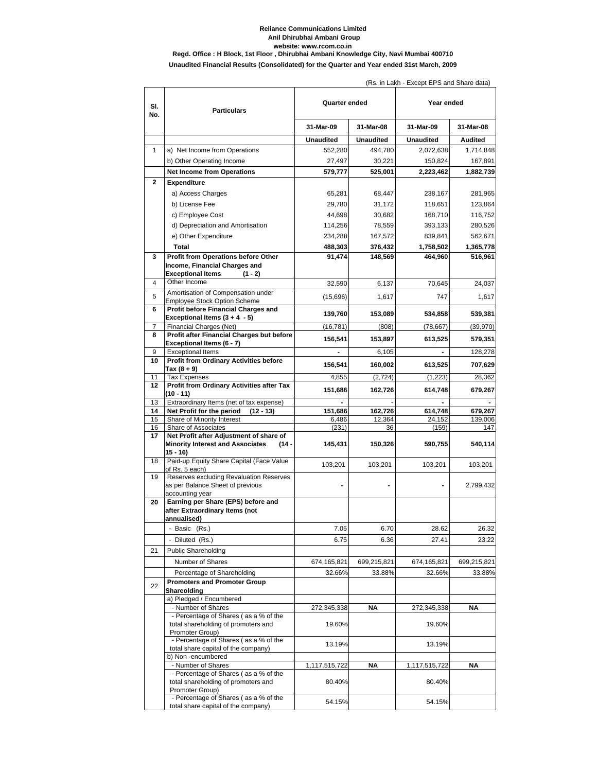## **Reliance Communications Limited Anil Dhirubhai Ambani Group website: www.rcom.co.in Regd. Office : H Block, 1st Floor , Dhirubhai Ambani Knowledge City, Navi Mumbai 400710**

**Unaudited Financial Results (Consolidated) for the Quarter and Year ended 31st March, 2009**

| SI.<br>No.   | <b>Particulars</b>                                                                                 | Quarter ended    |                   | $\mu$ s. In Lani - Lycept Li 9 and 9 iare data<br>Year ended |                    |
|--------------|----------------------------------------------------------------------------------------------------|------------------|-------------------|--------------------------------------------------------------|--------------------|
|              |                                                                                                    | 31-Mar-09        | 31-Mar-08         | 31-Mar-09                                                    | 31-Mar-08          |
|              |                                                                                                    | <b>Unaudited</b> | <b>Unaudited</b>  | <b>Unaudited</b>                                             | Audited            |
| $\mathbf{1}$ | a) Net Income from Operations                                                                      | 552,280          | 494,780           | 2,072,638                                                    | 1,714,848          |
|              | b) Other Operating Income                                                                          | 27,497           | 30,221            | 150,824                                                      | 167,891            |
|              | <b>Net Income from Operations</b>                                                                  | 579,777          | 525,001           | 2,223,462                                                    | 1,882,739          |
| 2            | <b>Expenditure</b>                                                                                 |                  |                   |                                                              |                    |
|              | a) Access Charges                                                                                  | 65,281           | 68,447            | 238,167                                                      | 281,965            |
|              | b) License Fee                                                                                     | 29,780           | 31,172            | 118,651                                                      | 123,864            |
|              | c) Employee Cost                                                                                   | 44.698           | 30,682            | 168,710                                                      | 116,752            |
|              | d) Depreciation and Amortisation                                                                   | 114,256          | 78,559            | 393,133                                                      | 280,526            |
|              | e) Other Expenditure                                                                               | 234,288          | 167,572           | 839,841                                                      | 562,671            |
|              | Total                                                                                              | 488,303          | 376,432           | 1,758,502                                                    | 1,365,778          |
| 3            | Profit from Operations before Other                                                                | 91,474           | 148,569           | 464,960                                                      | 516,961            |
|              | Income, Financial Charges and                                                                      |                  |                   |                                                              |                    |
| 4            | <b>Exceptional Items</b><br>$(1 - 2)$<br>Other Income                                              |                  |                   |                                                              |                    |
|              | Amortisation of Compensation under                                                                 | 32,590           | 6,137             | 70,645                                                       | 24,037             |
| 5            | <b>Employee Stock Option Scheme</b>                                                                | (15,696)         | 1,617             | 747                                                          | 1,617              |
| 6            | Profit before Financial Charges and                                                                | 139,760          | 153,089           | 534,858                                                      | 539,381            |
|              | Exceptional Items $(3 + 4 - 5)$                                                                    |                  |                   |                                                              |                    |
| 7<br>8       | Financial Charges (Net)<br>Profit after Financial Charges but before                               | (16, 781)        | (808)             | (78, 667)                                                    | (39, 970)          |
|              | Exceptional Items (6 - 7)                                                                          | 156,541          | 153,897           | 613,525                                                      | 579,351            |
| 9            | <b>Exceptional Items</b>                                                                           |                  | 6,105             |                                                              | 128,278            |
| 10           | <b>Profit from Ordinary Activities before</b>                                                      | 156,541          | 160,002           | 613,525                                                      | 707,629            |
| 11           | Tax (8 + 9)                                                                                        |                  | (2, 724)          | (1, 223)                                                     |                    |
| 12           | <b>Tax Expenses</b><br>Profit from Ordinary Activities after Tax                                   | 4,855            |                   |                                                              | 28,362             |
|              | (10 - 11)                                                                                          | 151,686          | 162,726           | 614,748                                                      | 679,267            |
| 13           | Extraordinary Items (net of tax expense)                                                           |                  |                   |                                                              |                    |
| 14<br>15     | Net Profit for the period<br>$(12 - 13)$<br>Share of Minority Interest                             | 151,686<br>6,486 | 162,726<br>12,364 | 614,748<br>24,152                                            | 679,267<br>139,006 |
| 16           | Share of Associates                                                                                | (231)            | 36                | (159)                                                        | 147                |
| 17           | Net Profit after Adjustment of share of                                                            |                  |                   |                                                              |                    |
|              | <b>Minority Interest and Associates</b><br>$(14 -$<br>$15 - 16$                                    | 145,431          | 150,326           | 590,755                                                      | 540,114            |
| 18           | Paid-up Equity Share Capital (Face Value<br>of Rs. 5 each)                                         | 103,201          | 103,201           | 103,201                                                      | 103,201            |
| 19           | Reserves excluding Revaluation Reserves<br>as per Balance Sheet of previous                        |                  |                   |                                                              | 2,799,432          |
| 20           | accounting year<br>Earning per Share (EPS) before and                                              |                  |                   |                                                              |                    |
|              | after Extraordinary Items (not                                                                     |                  |                   |                                                              |                    |
|              | annualised)                                                                                        |                  |                   |                                                              |                    |
|              | - Basic (Rs.)                                                                                      | 7.05             | 6.70              | 28.62                                                        | 26.32              |
|              | - Diluted (Rs.)                                                                                    | 6.75             | 6.36              | 27.41                                                        | 23.22              |
| 21           | <b>Public Shareholding</b>                                                                         |                  |                   |                                                              |                    |
|              | Number of Shares                                                                                   | 674,165,821      | 699,215,821       | 674,165,821                                                  | 699,215,821        |
|              | Percentage of Shareholding                                                                         | 32.66%           | 33.88%            | 32.66%                                                       | 33.88%             |
| 22           | <b>Promoters and Promoter Group</b><br>Shareolding                                                 |                  |                   |                                                              |                    |
|              | a) Pledged / Encumbered<br>- Number of Shares                                                      | 272,345,338      | NΑ                | 272,345,338                                                  | NΑ                 |
|              | - Percentage of Shares (as a % of the                                                              |                  |                   |                                                              |                    |
|              | total shareholding of promoters and                                                                | 19.60%           |                   | 19.60%                                                       |                    |
|              | Promoter Group)                                                                                    |                  |                   |                                                              |                    |
|              | - Percentage of Shares (as a % of the<br>total share capital of the company)<br>b) Non -encumbered | 13.19%           |                   | 13.19%                                                       |                    |
|              | - Number of Shares                                                                                 | 1,117,515,722    | ΝA                | 1,117,515,722                                                | ΝA                 |
|              | - Percentage of Shares (as a % of the                                                              |                  |                   |                                                              |                    |
|              | total shareholding of promoters and<br>Promoter Group)                                             | 80.40%           |                   | 80.40%                                                       |                    |
|              | - Percentage of Shares (as a % of the<br>total share capital of the company)                       | 54.15%           |                   | 54.15%                                                       |                    |
|              |                                                                                                    |                  |                   |                                                              |                    |

(Rs. in Lakh - Except EPS and Share data)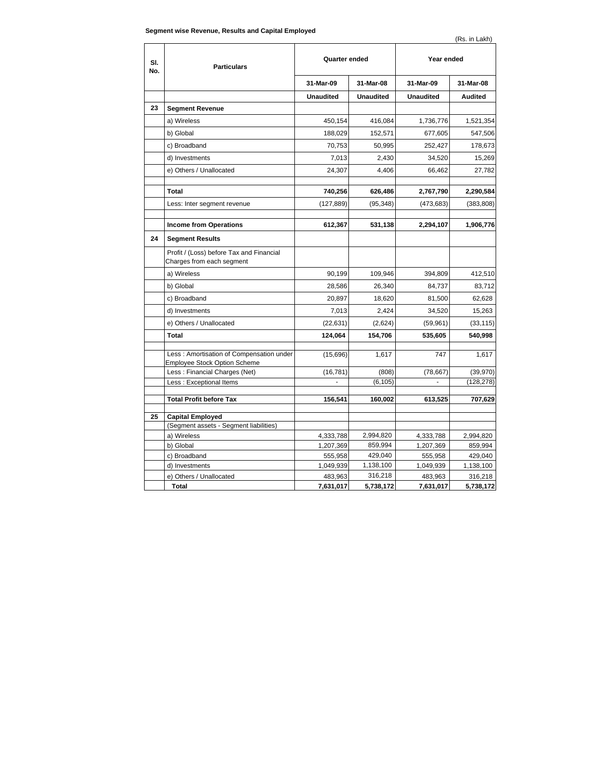| SI.<br>No. | <b>Particulars</b>                                                               | Quarter ended        |                      | Year ended           |                      |
|------------|----------------------------------------------------------------------------------|----------------------|----------------------|----------------------|----------------------|
|            |                                                                                  | 31-Mar-09            | 31-Mar-08            | 31-Mar-09            | 31-Mar-08            |
|            |                                                                                  | <b>Unaudited</b>     | <b>Unaudited</b>     | <b>Unaudited</b>     | Audited              |
| 23         | <b>Segment Revenue</b>                                                           |                      |                      |                      |                      |
|            | a) Wireless                                                                      | 450,154              | 416,084              | 1,736,776            | 1,521,354            |
|            | b) Global                                                                        | 188,029              | 152,571              | 677,605              | 547,506              |
|            | c) Broadband                                                                     | 70,753               | 50,995               | 252,427              | 178,673              |
|            | d) Investments                                                                   | 7,013                | 2.430                | 34,520               | 15,269               |
|            | e) Others / Unallocated                                                          | 24,307               | 4,406                | 66,462               | 27,782               |
|            |                                                                                  |                      |                      |                      |                      |
|            | Total                                                                            | 740,256              | 626,486              | 2,767,790            | 2,290,584            |
|            | Less: Inter segment revenue                                                      | (127, 889)           | (95, 348)            | (473, 683)           | (383, 808)           |
|            |                                                                                  |                      |                      |                      |                      |
|            | <b>Income from Operations</b>                                                    | 612,367              | 531,138              | 2,294,107            | 1,906,776            |
| 24         | <b>Segment Results</b>                                                           |                      |                      |                      |                      |
|            | Profit / (Loss) before Tax and Financial<br>Charges from each segment            |                      |                      |                      |                      |
|            | a) Wireless                                                                      | 90,199               | 109,946              | 394,809              | 412,510              |
|            | b) Global                                                                        | 28,586               | 26,340               | 84,737               | 83,712               |
|            | c) Broadband                                                                     | 20,897               | 18,620               | 81,500               | 62,628               |
|            | d) Investments                                                                   | 7,013                | 2,424                | 34,520               | 15,263               |
|            | e) Others / Unallocated                                                          | (22, 631)            | (2,624)              | (59, 961)            | (33, 115)            |
|            | <b>Total</b>                                                                     | 124,064              | 154,706              | 535,605              | 540,998              |
|            | Less : Amortisation of Compensation under<br><b>Employee Stock Option Scheme</b> | (15,696)             | 1,617                | 747                  | 1,617                |
|            | Less: Financial Charges (Net)                                                    | (16, 781)            | (808)                | (78, 667)            | (39, 970)            |
|            | Less: Exceptional Items                                                          |                      | (6, 105)             |                      | (128, 278)           |
|            | <b>Total Profit before Tax</b>                                                   | 156,541              | 160,002              | 613,525              | 707,629              |
|            |                                                                                  |                      |                      |                      |                      |
| 25         | <b>Capital Employed</b>                                                          |                      |                      |                      |                      |
|            | (Segment assets - Segment liabilities)                                           |                      |                      |                      |                      |
|            | a) Wireless                                                                      | 4,333,788            | 2,994,820<br>859,994 | 4,333,788            | 2,994,820            |
|            | b) Global                                                                        | 1,207,369<br>555,958 | 429,040              | 1,207,369            | 859,994              |
|            | c) Broadband<br>d) Investments                                                   | 1,049,939            | 1,138,100            | 555,958<br>1,049,939 | 429,040<br>1,138,100 |
|            | e) Others / Unallocated                                                          | 483,963              | 316,218              | 483,963              | 316,218              |
|            | <b>Total</b>                                                                     | 7,631,017            | 5.738.172            | 7,631,017            | 5,738,172            |